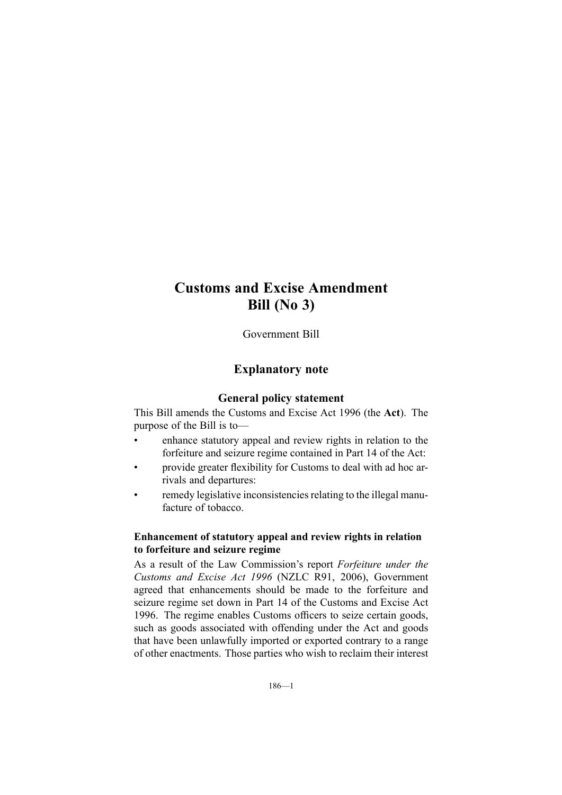# **Customs and Excise Amendment Bill (No 3)**

Government Bill

## **Explanatory note**

## **General policy statement**

This Bill amends the Customs and Excise Act 1996 (the **Act**). The purpose of the Bill is to—

- • enhance statutory appeal and review rights in relation to the forfeiture and seizure regime contained in Part 14 of the Act:
- • provide greater flexibility for Customs to deal with ad hoc arrivals and departures:
- •remedy legislative inconsistencies relating to the illegal manufacture of tobacco.

## **Enhancement of statutory appeal and review rights in relation to forfeiture and seizure regime**

As <sup>a</sup> result of the Law Commission's repor<sup>t</sup> *Forfeiture under the Customs and Excise Act 1996* (NZLC R91, 2006), Government agreed that enhancements should be made to the forfeiture and seizure regime set down in Part 14 of the Customs and Excise Act 1996. The regime enables Customs officers to seize certain goods, such as goods associated with offending under the Act and goods that have been unlawfully imported or exported contrary to <sup>a</sup> range of other enactments. Those parties who wish to reclaim their interest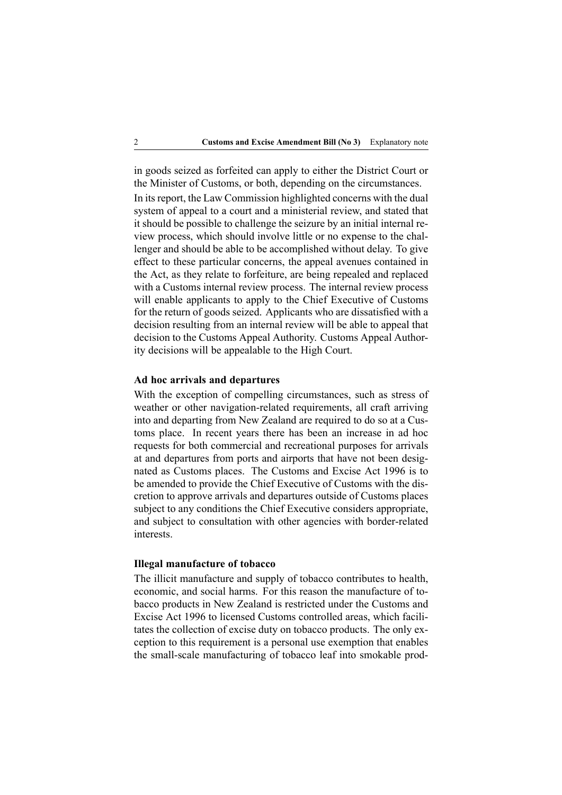in goods seized as forfeited can apply to either the District Court or the Minister of Customs, or both, depending on the circumstances.

In its report, the Law Commission highlighted concerns with the dual system of appeal to <sup>a</sup> court and <sup>a</sup> ministerial review, and stated that it should be possible to challenge the seizure by an initial internal review process, which should involve little or no expense to the challenger and should be able to be accomplished without delay. To give effect to these particular concerns, the appeal avenues contained in the Act, as they relate to forfeiture, are being repealed and replaced with <sup>a</sup> Customs internal review process. The internal review process will enable applicants to apply to the Chief Executive of Customs for the return of goods seized. Applicants who are dissatisfied with <sup>a</sup> decision resulting from an internal review will be able to appeal that decision to the Customs Appeal Authority. Customs Appeal Authority decisions will be appealable to the High Court.

#### **Ad hoc arrivals and departures**

With the exception of compelling circumstances, such as stress of weather or other navigation-related requirements, all craft arriving into and departing from New Zealand are required to do so at <sup>a</sup> Customs place. In recent years there has been an increase in ad hoc requests for both commercial and recreational purposes for arrivals at and departures from ports and airports that have not been designated as Customs places. The Customs and Excise Act 1996 is to be amended to provide the Chief Executive of Customs with the discretion to approve arrivals and departures outside of Customs places subject to any conditions the Chief Executive considers appropriate, and subject to consultation with other agencies with border-related interests.

#### **Illegal manufacture of tobacco**

The illicit manufacture and supply of tobacco contributes to health, economic, and social harms. For this reason the manufacture of tobacco products in New Zealand is restricted under the Customs and Excise Act 1996 to licensed Customs controlled areas, which facilitates the collection of excise duty on tobacco products. The only exception to this requirement is <sup>a</sup> personal use exemption that enables the small-scale manufacturing of tobacco leaf into smokable prod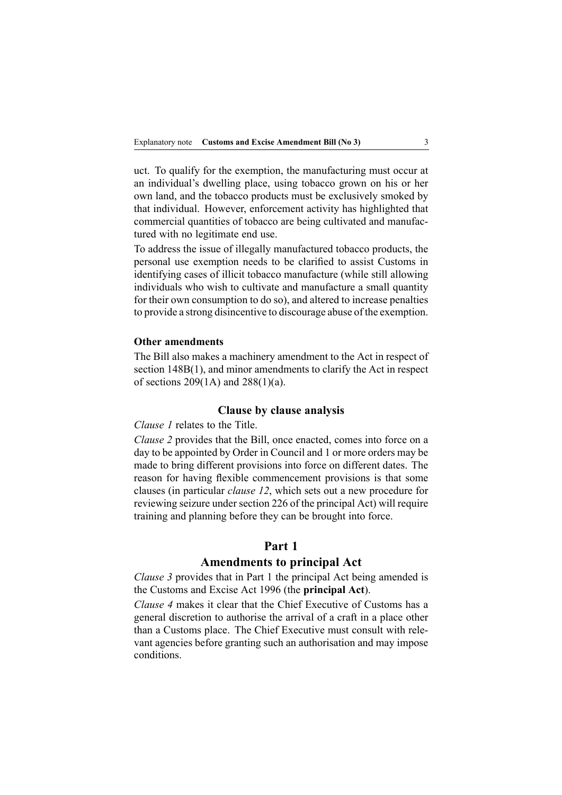uct. To qualify for the exemption, the manufacturing must occur at an individual's dwelling place, using tobacco grown on his or her own land, and the tobacco products must be exclusively smoked by that individual. However, enforcement activity has highlighted that commercial quantities of tobacco are being cultivated and manufactured with no legitimate end use.

To address the issue of illegally manufactured tobacco products, the personal use exemption needs to be clarified to assist Customs in identifying cases of illicit tobacco manufacture (while still allowing individuals who wish to cultivate and manufacture <sup>a</sup> small quantity for their own consumption to do so), and altered to increase penalties to provide <sup>a</sup> strong disincentive to discourage abuse of the exemption.

#### **Other amendments**

The Bill also makes <sup>a</sup> machinery amendment to the Act in respec<sup>t</sup> of section 148B(1), and minor amendments to clarify the Act in respect of sections  $209(1A)$  and  $288(1)(a)$ .

#### **Clause by clause analysis**

*Clause 1* relates to the Title.

*Clause 2* provides that the Bill, once enacted, comes into force on <sup>a</sup> day to be appointed by Order in Council and 1 or more orders may be made to bring different provisions into force on different dates. The reason for having flexible commencement provisions is that some clauses (in particular *clause 12*, which sets out <sup>a</sup> new procedure for reviewing seizure under section 226 of the principal Act) will require training and planning before they can be brought into force.

#### **Part 1**

## **Amendments to principal Act**

*Clause 3* provides that in Part 1 the principal Act being amended is the Customs and Excise Act 1996 (the **principal Act**).

*Clause 4* makes it clear that the Chief Executive of Customs has <sup>a</sup> general discretion to authorise the arrival of <sup>a</sup> craft in <sup>a</sup> place other than <sup>a</sup> Customs place. The Chief Executive must consult with relevant agencies before granting such an authorisation and may impose conditions.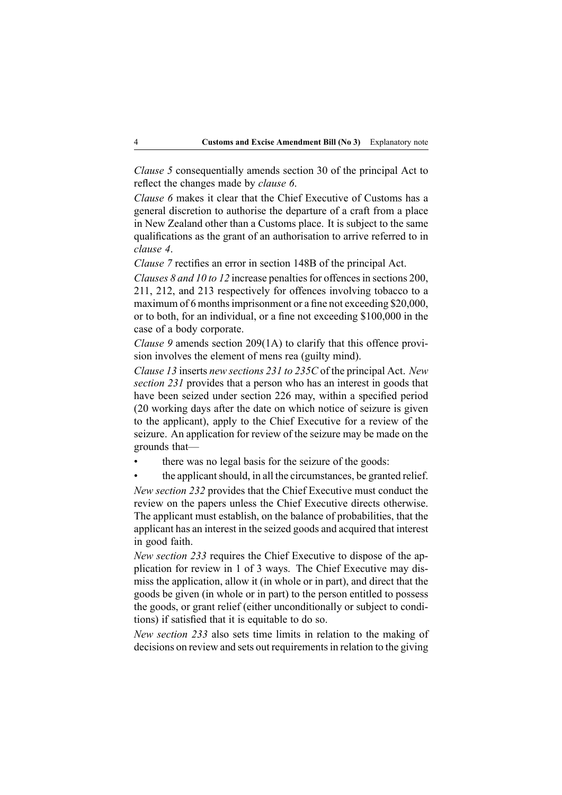*Clause 5* consequentially amends section 30 of the principal Act to reflect the changes made by *clause 6*.

*Clause 6* makes it clear that the Chief Executive of Customs has <sup>a</sup> general discretion to authorise the departure of <sup>a</sup> craft from <sup>a</sup> place in New Zealand other than <sup>a</sup> Customs place. It is subject to the same qualifications as the gran<sup>t</sup> of an authorisation to arrive referred to in *clause 4*.

*Clause 7* rectifies an error in section 148B of the principal Act.

*Clauses* 8 *and 10 to 12* increase penalties for offences in sections 200, 211, 212, and 213 respectively for offences involving tobacco to <sup>a</sup> maximum of 6 months imprisonment or a fine not exceeding \$20,000, or to both, for an individual, or <sup>a</sup> fine not exceeding \$100,000 in the case of <sup>a</sup> body corporate.

*Clause 9* amends section 209(1A) to clarify that this offence provision involves the element of mens rea (guilty mind).

*Clause 13* inserts *new sections 231 to 235C* of the principal Act. *New section 231* provides that <sup>a</sup> person who has an interest in goods that have been seized under section 226 may, within <sup>a</sup> specified period (20 working days after the date on which notice of seizure is given to the applicant), apply to the Chief Executive for <sup>a</sup> review of the seizure. An application for review of the seizure may be made on the grounds that—

- •there was no legal basis for the seizure of the goods:
- •the applicant should, in all the circumstances, be granted relief.

*New section 232* provides that the Chief Executive must conduct the review on the papers unless the Chief Executive directs otherwise. The applicant must establish, on the balance of probabilities, that the applicant has an interest in the seized goods and acquired that interest in good faith.

*New section 233* requires the Chief Executive to dispose of the application for review in 1 of 3 ways. The Chief Executive may dismiss the application, allow it (in whole or in part), and direct that the goods be given (in whole or in part) to the person entitled to possess the goods, or gran<sup>t</sup> relief (either unconditionally or subject to conditions) if satisfied that it is equitable to do so.

*New section 233* also sets time limits in relation to the making of decisions on review and sets out requirements in relation to the giving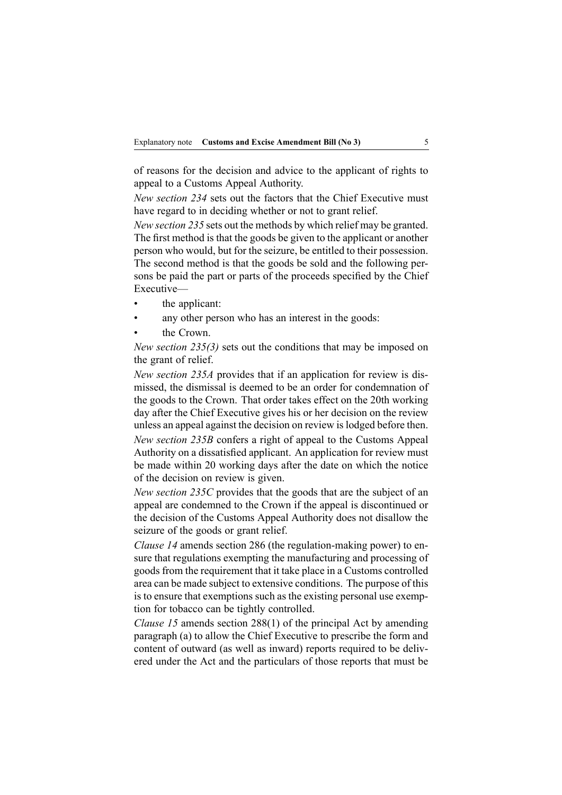of reasons for the decision and advice to the applicant of rights to appeal to <sup>a</sup> Customs Appeal Authority.

*New section 234* sets out the factors that the Chief Executive must have regard to in deciding whether or not to gran<sup>t</sup> relief.

*New section 235* sets out the methods by which relief may be granted. The first method is that the goods be given to the applicant or another person who would, but for the seizure, be entitled to their possession. The second method is that the goods be sold and the following persons be paid the par<sup>t</sup> or parts of the proceeds specified by the Chief Executive—

- •the applicant:
- •any other person who has an interest in the goods:
- •the Crown.

*New section 235(3)* sets out the conditions that may be imposed on the gran<sup>t</sup> of relief.

*New section 235A* provides that if an application for review is dismissed, the dismissal is deemed to be an order for condemnation of the goods to the Crown. That order takes effect on the 20th working day after the Chief Executive gives his or her decision on the review unless an appeal against the decision on review islodged before then. *New section 235B* confers <sup>a</sup> right of appeal to the Customs Appeal Authority on <sup>a</sup> dissatisfied applicant. An application for review must be made within 20 working days after the date on which the notice of the decision on review is given.

*New section 235C* provides that the goods that are the subject of an appeal are condemned to the Crown if the appeal is discontinued or the decision of the Customs Appeal Authority does not disallow the seizure of the goods or gran<sup>t</sup> relief.

*Clause* 14 amends section 286 (the regulation-making power) to ensure that regulations exempting the manufacturing and processing of goods from the requirement that it take place in <sup>a</sup> Customs controlled area can be made subject to extensive conditions. The purpose of this is to ensure that exemptions such as the existing personal use exemption for tobacco can be tightly controlled.

*Clause 15* amends section 288(1) of the principal Act by amending paragraph (a) to allow the Chief Executive to prescribe the form and content of outward (as well as inward) reports required to be delivered under the Act and the particulars of those reports that must be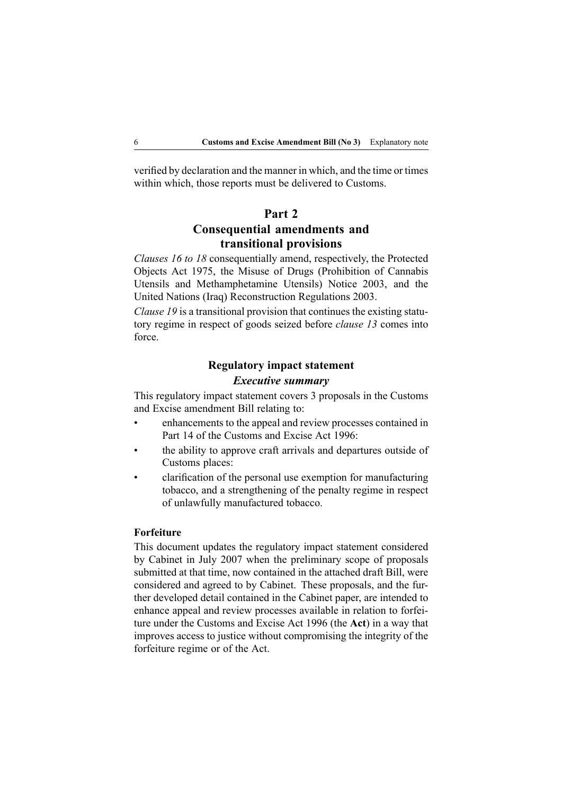verified by declaration and the manner in which, and the time or times within which, those reports must be delivered to Customs.

## **Part 2 Consequential amendments and transitional provisions**

*Clauses 16 to 18* consequentially amend, respectively, the Protected Objects Act 1975, the Misuse of Drugs (Prohibition of Cannabis Utensils and Methamphetamine Utensils) Notice 2003, and the United Nations (Iraq) Reconstruction Regulations 2003.

*Clause 19* is <sup>a</sup> transitional provision that continues the existing statutory regime in respec<sup>t</sup> of goods seized before *clause 13* comes into force.

# **Regulatory impact statement**

#### *Executive summary*

This regulatory impact statement covers 3 proposals in the Customs and Excise amendment Bill relating to:

- • enhancements to the appeal and review processes contained in Part 14 of the Customs and Excise Act 1996:
- • the ability to approve craft arrivals and departures outside of Customs places:
- • clarification of the personal use exemption for manufacturing tobacco, and <sup>a</sup> strengthening of the penalty regime in respec<sup>t</sup> of unlawfully manufactured tobacco.

#### **Forfeiture**

This document updates the regulatory impact statement considered by Cabinet in July 2007 when the preliminary scope of proposals submitted at that time, now contained in the attached draft Bill, were considered and agreed to by Cabinet. These proposals, and the further developed detail contained in the Cabinet paper, are intended to enhance appeal and review processes available in relation to forfeiture under the Customs and Excise Act 1996 (the **Act**) in <sup>a</sup> way that improves access to justice without compromising the integrity of the forfeiture regime or of the Act.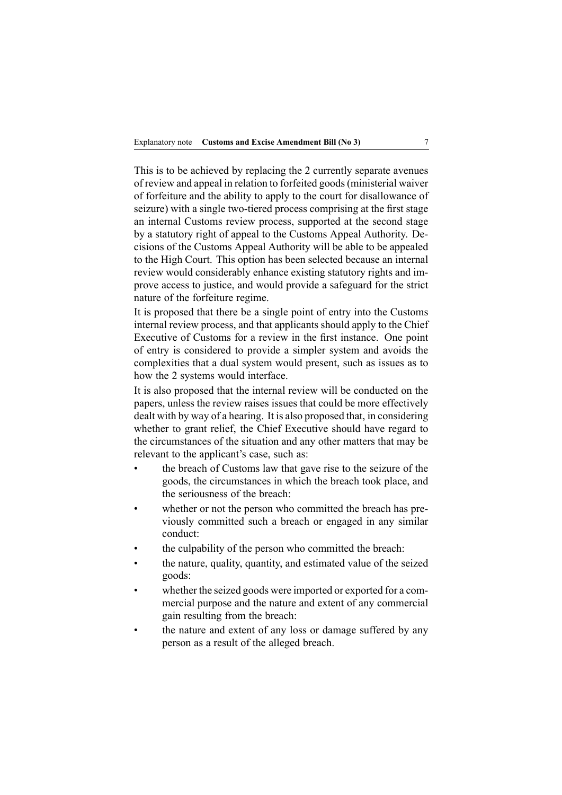This is to be achieved by replacing the 2 currently separate avenues of review and appeal in relation to forfeited goods(ministerial waiver of forfeiture and the ability to apply to the court for disallowance of seizure) with a single two-tiered process comprising at the first stage an internal Customs review process, supported at the second stage by <sup>a</sup> statutory right of appeal to the Customs Appeal Authority. Decisions of the Customs Appeal Authority will be able to be appealed to the High Court. This option has been selected because an internal review would considerably enhance existing statutory rights and improve access to justice, and would provide <sup>a</sup> safeguard for the strict nature of the forfeiture regime.

It is proposed that there be <sup>a</sup> single point of entry into the Customs internal review process, and that applicants should apply to the Chief Executive of Customs for <sup>a</sup> review in the first instance. One point of entry is considered to provide <sup>a</sup> simpler system and avoids the complexities that <sup>a</sup> dual system would present, such as issues as to how the 2 systems would interface.

It is also proposed that the internal review will be conducted on the papers, unless the review raises issues that could be more effectively dealt with by way of <sup>a</sup> hearing. It is also proposed that, in considering whether to gran<sup>t</sup> relief, the Chief Executive should have regard to the circumstances of the situation and any other matters that may be relevant to the applicant's case, such as:

- • the breach of Customs law that gave rise to the seizure of the goods, the circumstances in which the breach took place, and the seriousness of the breach:
- •whether or not the person who committed the breach has previously committed such <sup>a</sup> breach or engaged in any similar conduct:
- •the culpability of the person who committed the breach:
- • the nature, quality, quantity, and estimated value of the seized goods:
- • whether the seized goods were imported or exported for <sup>a</sup> commercial purpose and the nature and extent of any commercial gain resulting from the breach:
- • the nature and extent of any loss or damage suffered by any person as <sup>a</sup> result of the alleged breach.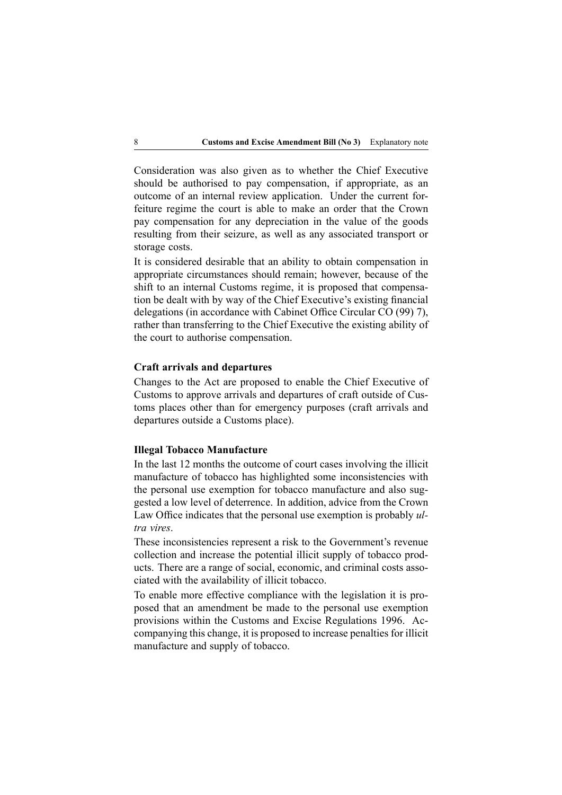Consideration was also given as to whether the Chief Executive should be authorised to pay compensation, if appropriate, as an outcome of an internal review application. Under the current forfeiture regime the court is able to make an order that the Crown pay compensation for any depreciation in the value of the goods resulting from their seizure, as well as any associated transport or storage costs.

It is considered desirable that an ability to obtain compensation in appropriate circumstances should remain; however, because of the shift to an internal Customs regime, it is proposed that compensation be dealt with by way of the Chief Executive's existing financial delegations (in accordance with Cabinet Office Circular CO (99) 7), rather than transferring to the Chief Executive the existing ability of the court to authorise compensation.

#### **Craft arrivals and departures**

Changes to the Act are proposed to enable the Chief Executive of Customs to approve arrivals and departures of craft outside of Customs places other than for emergency purposes (craft arrivals and departures outside <sup>a</sup> Customs place).

#### **Illegal Tobacco Manufacture**

In the last 12 months the outcome of court cases involving the illicit manufacture of tobacco has highlighted some inconsistencies with the personal use exemption for tobacco manufacture and also suggested <sup>a</sup> low level of deterrence. In addition, advice from the Crown Law Office indicates that the personal use exemption is probably *ultra vires*.

These inconsistencies represen<sup>t</sup> <sup>a</sup> risk to the Government's revenue collection and increase the potential illicit supply of tobacco products. There are <sup>a</sup> range of social, economic, and criminal costs associated with the availability of illicit tobacco.

To enable more effective compliance with the legislation it is proposed that an amendment be made to the personal use exemption provisions within the Customs and Excise Regulations 1996. Accompanying this change, it is proposed to increase penalties for illicit manufacture and supply of tobacco.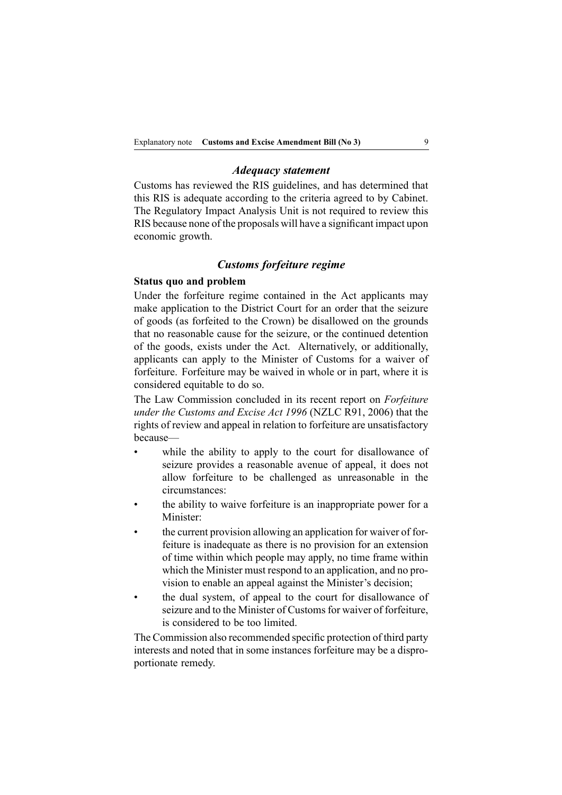#### *Adequacy statement*

Customs has reviewed the RIS guidelines, and has determined that this RIS is adequate according to the criteria agreed to by Cabinet. The Regulatory Impact Analysis Unit is not required to review this RIS because none of the proposals will have <sup>a</sup> significant impact upon economic growth.

#### *Customs forfeiture regime*

#### **Status quo and problem**

Under the forfeiture regime contained in the Act applicants may make application to the District Court for an order that the seizure of goods (as forfeited to the Crown) be disallowed on the grounds that no reasonable cause for the seizure, or the continued detention of the goods, exists under the Act. Alternatively, or additionally, applicants can apply to the Minister of Customs for <sup>a</sup> waiver of forfeiture. Forfeiture may be waived in whole or in part, where it is considered equitable to do so.

The Law Commission concluded in its recent repor<sup>t</sup> on *Forfeiture under the Customs and Excise Act 1996* (NZLC R91, 2006) that the rights of review and appeal in relation to forfeiture are unsatisfactory because—

- • while the ability to apply to the court for disallowance of seizure provides <sup>a</sup> reasonable avenue of appeal, it does not allow forfeiture to be challenged as unreasonable in the circumstances:
- • the ability to waive forfeiture is an inappropriate power for <sup>a</sup> Minister:
- • the current provision allowing an application for waiver of forfeiture is inadequate as there is no provision for an extension of time within which people may apply, no time frame within which the Minister must respond to an application, and no provision to enable an appeal against the Minister's decision;
- • the dual system, of appeal to the court for disallowance of seizure and to the Minister of Customs for waiver of forfeiture, is considered to be too limited.

The Commission also recommended specific protection of third party interests and noted that in some instances forfeiture may be <sup>a</sup> disproportionate remedy.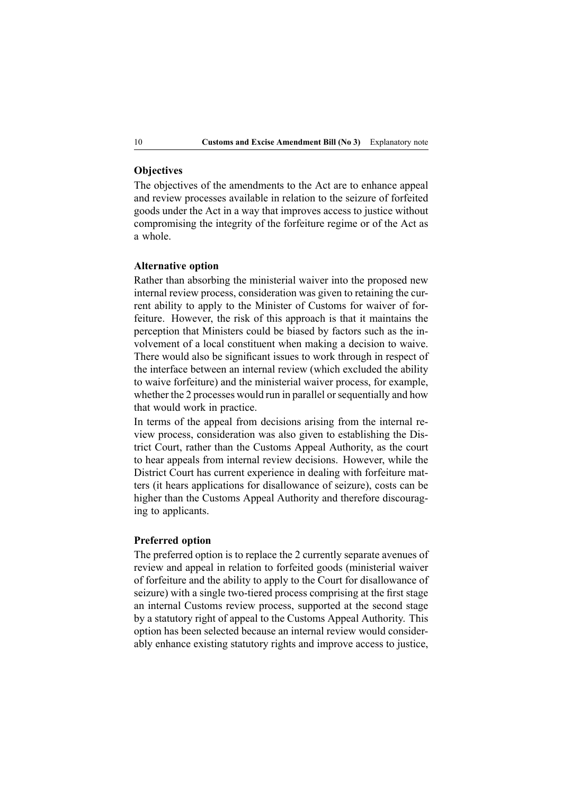## **Objectives**

The objectives of the amendments to the Act are to enhance appeal and review processes available in relation to the seizure of forfeited goods under the Act in <sup>a</sup> way that improves access to justice without compromising the integrity of the forfeiture regime or of the Act as <sup>a</sup> whole.

#### **Alternative option**

Rather than absorbing the ministerial waiver into the proposed new internal review process, consideration was given to retaining the current ability to apply to the Minister of Customs for waiver of forfeiture. However, the risk of this approach is that it maintains the perception that Ministers could be biased by factors such as the involvement of <sup>a</sup> local constituent when making <sup>a</sup> decision to waive. There would also be significant issues to work through in respec<sup>t</sup> of the interface between an internal review (which excluded the ability to waive forfeiture) and the ministerial waiver process, for example, whether the 2 processes would run in parallel or sequentially and how that would work in practice.

In terms of the appeal from decisions arising from the internal review process, consideration was also given to establishing the District Court, rather than the Customs Appeal Authority, as the court to hear appeals from internal review decisions. However, while the District Court has current experience in dealing with forfeiture matters (it hears applications for disallowance of seizure), costs can be higher than the Customs Appeal Authority and therefore discouraging to applicants.

#### **Preferred option**

The preferred option is to replace the 2 currently separate avenues of review and appeal in relation to forfeited goods (ministerial waiver of forfeiture and the ability to apply to the Court for disallowance of seizure) with a single two-tiered process comprising at the first stage an internal Customs review process, supported at the second stage by <sup>a</sup> statutory right of appeal to the Customs Appeal Authority. This option has been selected because an internal review would considerably enhance existing statutory rights and improve access to justice,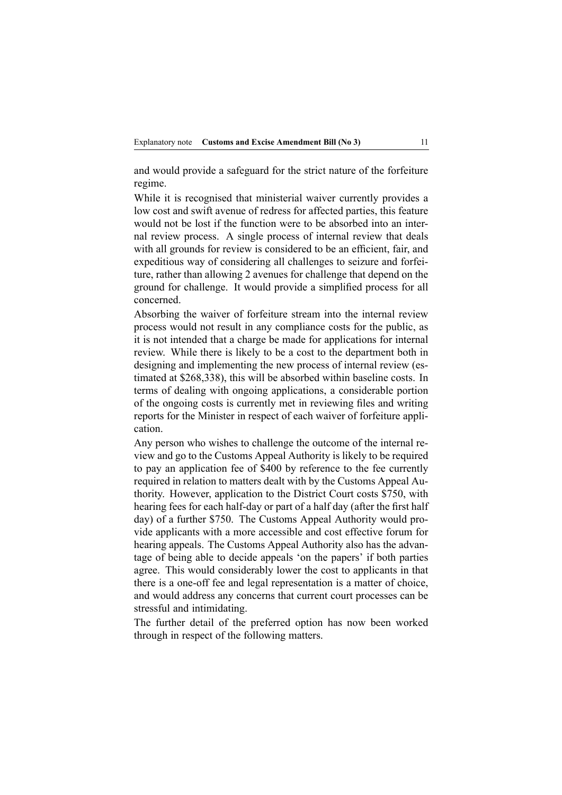and would provide <sup>a</sup> safeguard for the strict nature of the forfeiture regime.

While it is recognised that ministerial waiver currently provides <sup>a</sup> low cost and swift avenue of redress for affected parties, this feature would not be lost if the function were to be absorbed into an internal review process. A single process of internal review that deals with all grounds for review is considered to be an efficient, fair, and expeditious way of considering all challenges to seizure and forfeiture, rather than allowing 2 avenues for challenge that depend on the ground for challenge. It would provide <sup>a</sup> simplified process for all concerned.

Absorbing the waiver of forfeiture stream into the internal review process would not result in any compliance costs for the public, as it is not intended that <sup>a</sup> charge be made for applications for internal review. While there is likely to be <sup>a</sup> cost to the department both in designing and implementing the new process of internal review (estimated at \$268,338), this will be absorbed within baseline costs. In terms of dealing with ongoing applications, <sup>a</sup> considerable portion of the ongoing costs is currently met in reviewing files and writing reports for the Minister in respec<sup>t</sup> of each waiver of forfeiture application.

Any person who wishes to challenge the outcome of the internal review and go to the Customs Appeal Authority is likely to be required to pay an application fee of \$400 by reference to the fee currently required in relation to matters dealt with by the Customs Appeal Authority. However, application to the District Court costs \$750, with hearing fees for each half-day or part of a half day (after the first half day) of <sup>a</sup> further \$750. The Customs Appeal Authority would provide applicants with <sup>a</sup> more accessible and cost effective forum for hearing appeals. The Customs Appeal Authority also has the advantage of being able to decide appeals 'on the papers' if both parties agree. This would considerably lower the cost to applicants in that there is a one-off fee and legal representation is a matter of choice, and would address any concerns that current court processes can be stressful and intimidating.

The further detail of the preferred option has now been worked through in respec<sup>t</sup> of the following matters.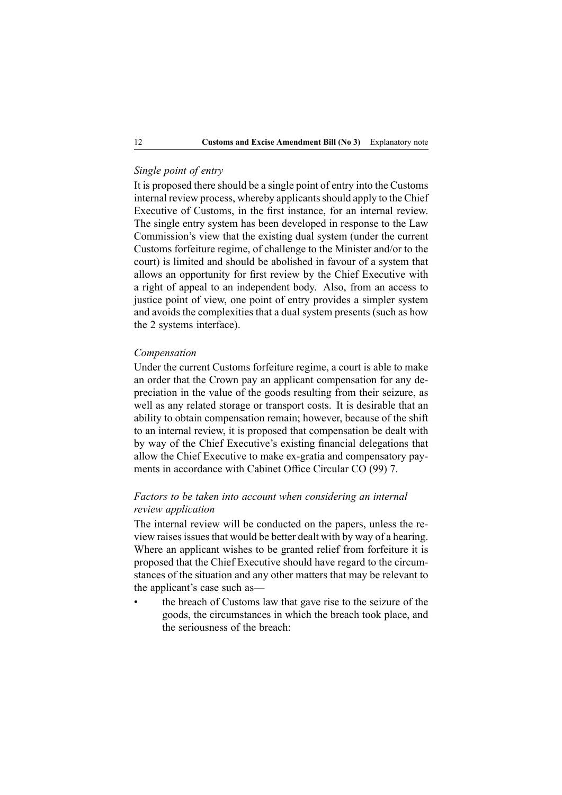## *Single point of entry*

It is proposed there should be <sup>a</sup> single point of entry into the Customs internal review process, whereby applicants should apply to the Chief Executive of Customs, in the first instance, for an internal review. The single entry system has been developed in response to the Law Commission's view that the existing dual system (under the current Customs forfeiture regime, of challenge to the Minister and/or to the court) is limited and should be abolished in favour of <sup>a</sup> system that allows an opportunity for first review by the Chief Executive with <sup>a</sup> right of appeal to an independent body. Also, from an access to justice point of view, one point of entry provides <sup>a</sup> simpler system and avoids the complexities that <sup>a</sup> dual system presents (such as how the 2 systems interface).

#### *Compensation*

•

Under the current Customs forfeiture regime, <sup>a</sup> court is able to make an order that the Crown pay an applicant compensation for any depreciation in the value of the goods resulting from their seizure, as well as any related storage or transport costs. It is desirable that an ability to obtain compensation remain; however, because of the shift to an internal review, it is proposed that compensation be dealt with by way of the Chief Executive's existing financial delegations that allow the Chief Executive to make ex-gratia and compensatory payments in accordance with Cabinet Office Circular CO (99) 7.

## *Factors to be taken into account when considering an internal review application*

The internal review will be conducted on the papers, unless the review raises issues that would be better dealt with by way of a hearing. Where an applicant wishes to be granted relief from forfeiture it is proposed that the Chief Executive should have regard to the circumstances of the situation and any other matters that may be relevant to the applicant's case such as—

 the breach of Customs law that gave rise to the seizure of the goods, the circumstances in which the breach took place, and the seriousness of the breach: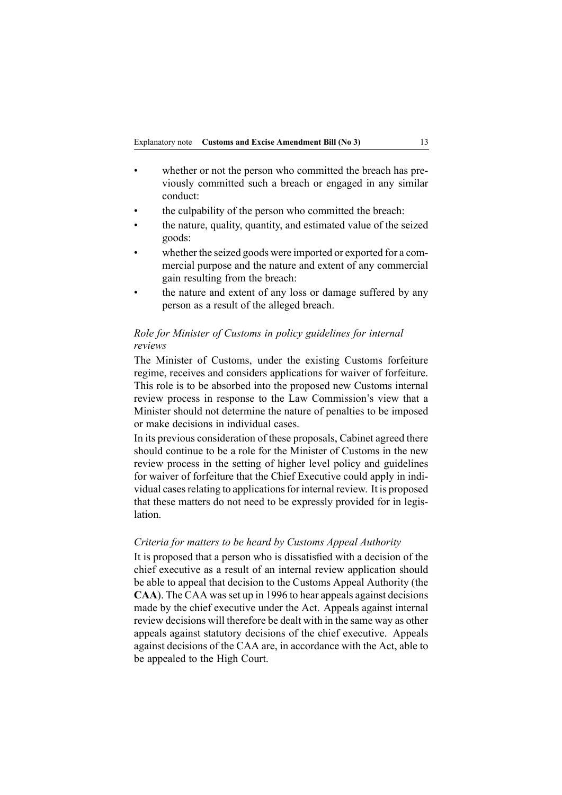- • whether or not the person who committed the breach has previously committed such <sup>a</sup> breach or engaged in any similar conduct:
- •the culpability of the person who committed the breach:
- • the nature, quality, quantity, and estimated value of the seized goods:
- • whether the seized goods were imported or exported for <sup>a</sup> commercial purpose and the nature and extent of any commercial gain resulting from the breach:
- • the nature and extent of any loss or damage suffered by any person as <sup>a</sup> result of the alleged breach.

## *Role for Minister of Customs in policy guidelines for internal reviews*

The Minister of Customs, under the existing Customs forfeiture regime, receives and considers applications for waiver of forfeiture. This role is to be absorbed into the proposed new Customs internal review process in response to the Law Commission's view that <sup>a</sup> Minister should not determine the nature of penalties to be imposed or make decisions in individual cases.

In its previous consideration of these proposals, Cabinet agreed there should continue to be <sup>a</sup> role for the Minister of Customs in the new review process in the setting of higher level policy and guidelines for waiver of forfeiture that the Chief Executive could apply in individual cases relating to applications for internal review. It is proposed that these matters do not need to be expressly provided for in legislation.

#### *Criteria for matters to be heard by Customs Appeal Authority*

It is proposed that <sup>a</sup> person who is dissatisfied with <sup>a</sup> decision of the chief executive as <sup>a</sup> result of an internal review application should be able to appeal that decision to the Customs Appeal Authority (the CAA). The CAA was set up in 1996 to hear appeals against decisions made by the chief executive under the Act. Appeals against internal review decisions will therefore be dealt with in the same way as other appeals against statutory decisions of the chief executive. Appeals against decisions of the CAA are, in accordance with the Act, able to be appealed to the High Court.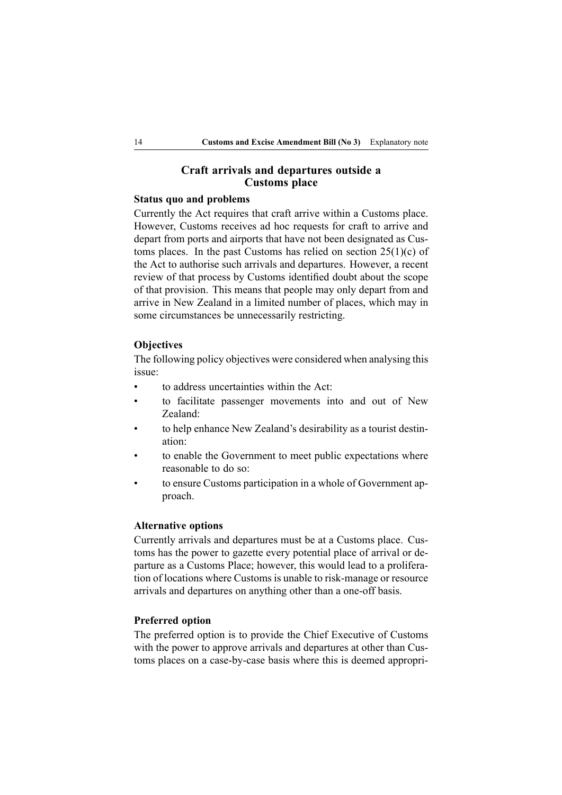## **Craft arrivals and departures outside <sup>a</sup> Customs place**

#### **Status quo and problems**

Currently the Act requires that craft arrive within <sup>a</sup> Customs place. However, Customs receives ad hoc requests for craft to arrive and depart from ports and airports that have not been designated as Customs places. In the past Customs has relied on section  $25(1)(c)$  of the Act to authorise such arrivals and departures. However, <sup>a</sup> recent review of that process by Customs identified doubt about the scope of that provision. This means that people may only depart from and arrive in New Zealand in <sup>a</sup> limited number of places, which may in some circumstances be unnecessarily restricting.

#### **Objectives**

The following policy objectives were considered when analysing this issue:

- •to address uncertainties within the Act:
- • to facilitate passenger movements into and out of New Zealand:
- • to help enhance New Zealand's desirability as <sup>a</sup> tourist destination:
- • to enable the Government to meet public expectations where reasonable to do so:
- • to ensure Customs participation in <sup>a</sup> whole of Government approach.

#### **Alternative options**

Currently arrivals and departures must be at <sup>a</sup> Customs place. Customs has the power to gazette every potential place of arrival or departure as <sup>a</sup> Customs Place; however, this would lead to <sup>a</sup> proliferation of locations where Customs is unable to risk-manage or resource arrivals and departures on anything other than a one-off basis.

#### **Preferred option**

The preferred option is to provide the Chief Executive of Customs with the power to approve arrivals and departures at other than Customs places on a case-by-case basis where this is deemed appropri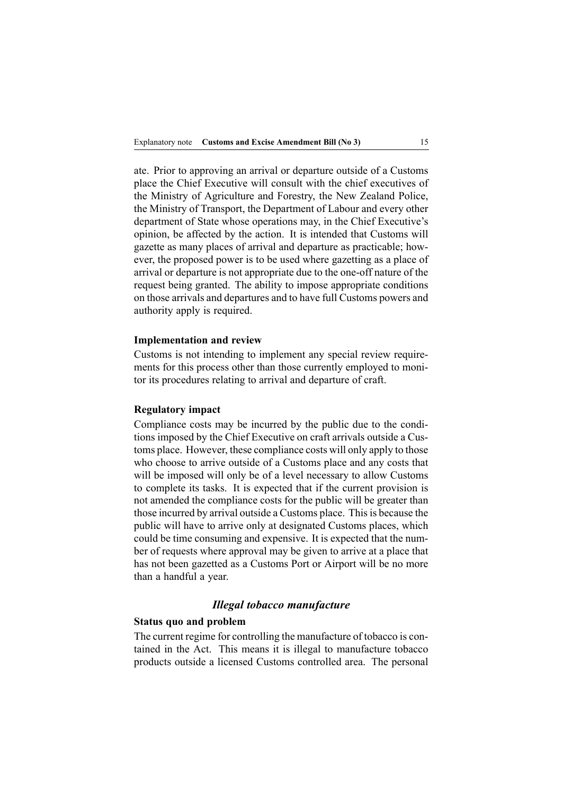ate. Prior to approving an arrival or departure outside of <sup>a</sup> Customs place the Chief Executive will consult with the chief executives of the Ministry of Agriculture and Forestry, the New Zealand Police, the Ministry of Transport, the Department of Labour and every other department of State whose operations may, in the Chief Executive's opinion, be affected by the action. It is intended that Customs will gazette as many places of arrival and departure as practicable; however, the proposed power is to be used where gazetting as <sup>a</sup> place of arrival or departure is not appropriate due to the one-off nature of the reques<sup>t</sup> being granted. The ability to impose appropriate conditions on those arrivals and departures and to have full Customs powers and authority apply is required.

#### **Implementation and review**

Customs is not intending to implement any special review requirements for this process other than those currently employed to monitor its procedures relating to arrival and departure of craft.

#### **Regulatory impact**

Compliance costs may be incurred by the public due to the conditions imposed by the Chief Executive on craft arrivals outside <sup>a</sup> Customs place. However, these compliance costs will only apply to those who choose to arrive outside of <sup>a</sup> Customs place and any costs that will be imposed will only be of <sup>a</sup> level necessary to allow Customs to complete its tasks. It is expected that if the current provision is not amended the compliance costs for the public will be greater than those incurred by arrival outside a Customs place. This is because the public will have to arrive only at designated Customs places, which could be time consuming and expensive. It is expected that the number of requests where approval may be given to arrive at <sup>a</sup> place that has not been gazetted as <sup>a</sup> Customs Port or Airport will be no more than <sup>a</sup> handful <sup>a</sup> year.

#### *Illegal tobacco manufacture*

#### **Status quo and problem**

The current regime for controlling the manufacture of tobacco is contained in the Act. This means it is illegal to manufacture tobacco products outside <sup>a</sup> licensed Customs controlled area. The personal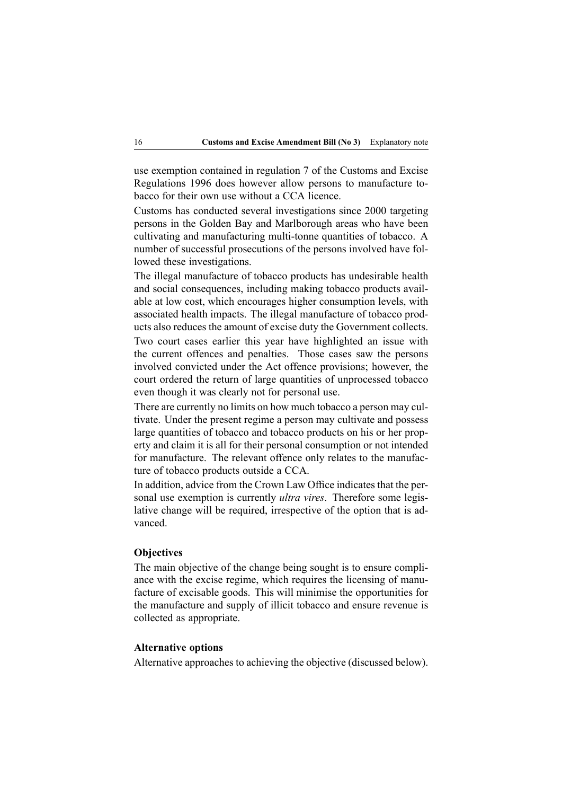use exemption contained in regulation 7 of the Customs and Excise Regulations 1996 does however allow persons to manufacture tobacco for their own use without <sup>a</sup> CCA licence.

Customs has conducted several investigations since 2000 targeting persons in the Golden Bay and Marlborough areas who have been cultivating and manufacturing multi-tonne quantities of tobacco. A number of successful prosecutions of the persons involved have followed these investigations.

The illegal manufacture of tobacco products has undesirable health and social consequences, including making tobacco products available at low cost, which encourages higher consumption levels, with associated health impacts. The illegal manufacture of tobacco products also reduces the amount of excise duty the Government collects.

Two court cases earlier this year have highlighted an issue with the current offences and penalties. Those cases saw the persons involved convicted under the Act offence provisions; however, the court ordered the return of large quantities of unprocessed tobacco even though it was clearly not for personal use.

There are currently no limits on how much tobacco <sup>a</sup> person may cultivate. Under the presen<sup>t</sup> regime <sup>a</sup> person may cultivate and possess large quantities of tobacco and tobacco products on his or her property and claim it is all for their personal consumption or not intended for manufacture. The relevant offence only relates to the manufacture of tobacco products outside <sup>a</sup> CCA.

In addition, advice from the Crown Law Office indicates that the personal use exemption is currently *ultra vires*. Therefore some legislative change will be required, irrespective of the option that is advanced.

#### **Objectives**

The main objective of the change being sought is to ensure compliance with the excise regime, which requires the licensing of manufacture of excisable goods. This will minimise the opportunities for the manufacture and supply of illicit tobacco and ensure revenue is collected as appropriate.

#### **Alternative options**

Alternative approaches to achieving the objective (discussed below).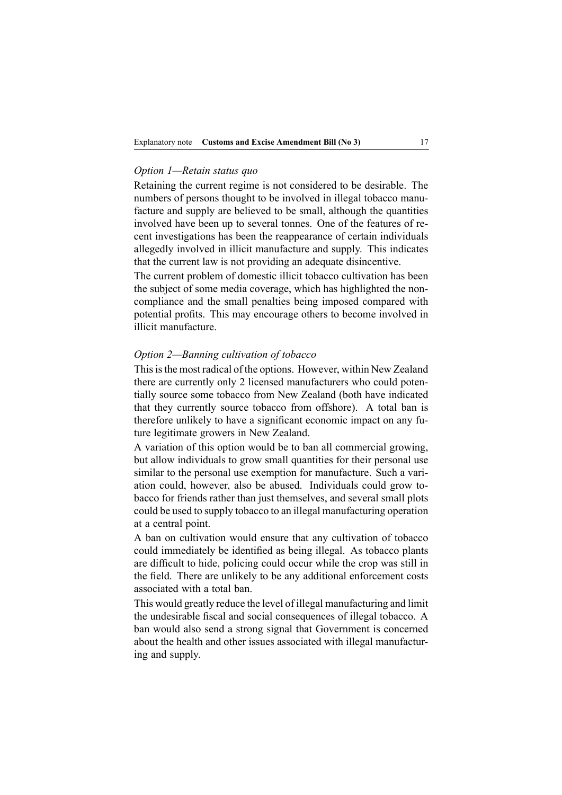#### *Option 1—Retain status quo*

Retaining the current regime is not considered to be desirable. The numbers of persons thought to be involved in illegal tobacco manufacture and supply are believed to be small, although the quantities involved have been up to several tonnes. One of the features of recent investigations has been the reappearance of certain individuals allegedly involved in illicit manufacture and supply. This indicates that the current law is not providing an adequate disincentive.

The current problem of domestic illicit tobacco cultivation has been the subject of some media coverage, which has highlighted the noncompliance and the small penalties being imposed compared with potential profits. This may encourage others to become involved in illicit manufacture.

#### *Option 2—Banning cultivation of tobacco*

This is the most radical of the options. However, within New Zealand there are currently only 2 licensed manufacturers who could potentially source some tobacco from New Zealand (both have indicated that they currently source tobacco from offshore). A total ban is therefore unlikely to have <sup>a</sup> significant economic impact on any future legitimate growers in New Zealand.

A variation of this option would be to ban all commercial growing, but allow individuals to grow small quantities for their personal use similar to the personal use exemption for manufacture. Such <sup>a</sup> variation could, however, also be abused. Individuals could grow tobacco for friends rather than just themselves, and several small plots could be used to supply tobacco to an illegal manufacturing operation at <sup>a</sup> central point.

A ban on cultivation would ensure that any cultivation of tobacco could immediately be identified as being illegal. As tobacco plants are difficult to hide, policing could occur while the crop was still in the field. There are unlikely to be any additional enforcement costs associated with <sup>a</sup> total ban.

This would greatly reduce the level of illegal manufacturing and limit the undesirable fiscal and social consequences of illegal tobacco. A ban would also send <sup>a</sup> strong signal that Government is concerned about the health and other issues associated with illegal manufacturing and supply.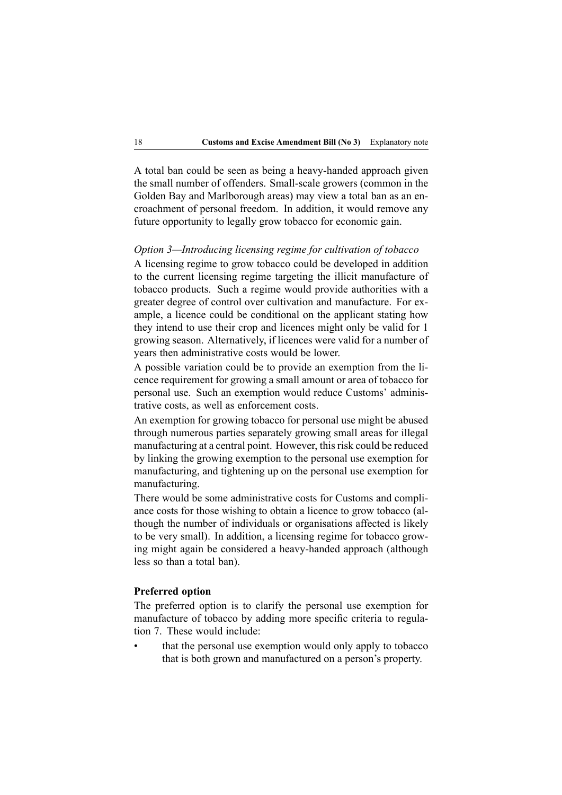A total ban could be seen as being a heavy-handed approach given the small number of offenders. Small-scale growers (common in the Golden Bay and Marlborough areas) may view <sup>a</sup> total ban as an encroachment of personal freedom. In addition, it would remove any future opportunity to legally grow tobacco for economic gain.

#### *Option 3—Introducing licensing regime for cultivation of tobacco*

A licensing regime to grow tobacco could be developed in addition to the current licensing regime targeting the illicit manufacture of tobacco products. Such <sup>a</sup> regime would provide authorities with <sup>a</sup> greater degree of control over cultivation and manufacture. For example, <sup>a</sup> licence could be conditional on the applicant stating how they intend to use their crop and licences might only be valid for 1 growing season. Alternatively, if licences were valid for <sup>a</sup> number of years then administrative costs would be lower.

A possible variation could be to provide an exemption from the licence requirement for growing <sup>a</sup> small amount or area of tobacco for personal use. Such an exemption would reduce Customs' administrative costs, as well as enforcement costs.

An exemption for growing tobacco for personal use might be abused through numerous parties separately growing small areas for illegal manufacturing at a central point. However, this risk could be reduced by linking the growing exemption to the personal use exemption for manufacturing, and tightening up on the personal use exemption for manufacturing.

There would be some administrative costs for Customs and compliance costs for those wishing to obtain <sup>a</sup> licence to grow tobacco (although the number of individuals or organisations affected is likely to be very small). In addition, <sup>a</sup> licensing regime for tobacco growing might again be considered a heavy-handed approach (although less so than <sup>a</sup> total ban).

#### **Preferred option**

The preferred option is to clarify the personal use exemption for manufacture of tobacco by adding more specific criteria to regulation 7. These would include:

• that the personal use exemption would only apply to tobacco that is both grown and manufactured on <sup>a</sup> person's property.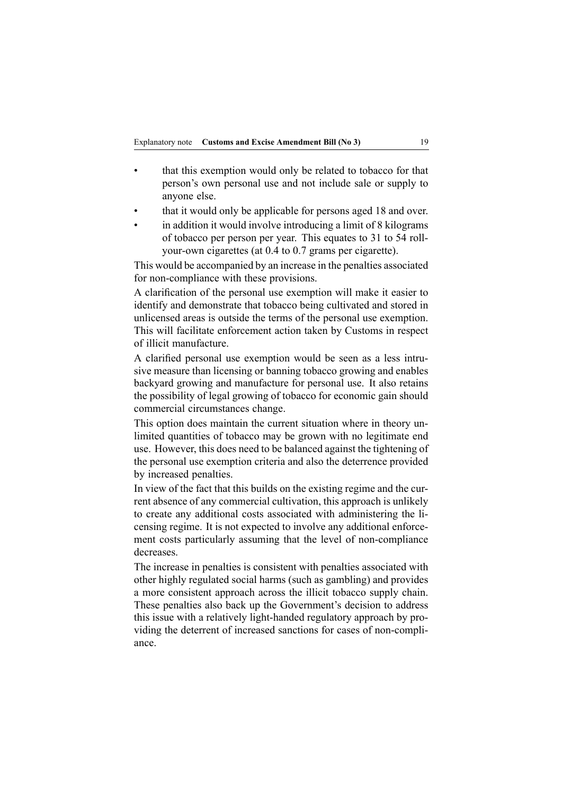- • that this exemption would only be related to tobacco for that person's own personal use and not include sale or supply to anyone else.
- •that it would only be applicable for persons aged 18 and over.
- • in addition it would involve introducing <sup>a</sup> limit of 8 kilograms of tobacco per person per year. This equates to 31 to 54 rollyour-own cigarettes (at  $0.4$  to  $0.7$  grams per cigarette).

This would be accompanied by an increase in the penalties associated for non-compliance with these provisions.

A clarification of the personal use exemption will make it easier to identify and demonstrate that tobacco being cultivated and stored in unlicensed areas is outside the terms of the personal use exemption. This will facilitate enforcement action taken by Customs in respec<sup>t</sup> of illicit manufacture.

A clarified personal use exemption would be seen as <sup>a</sup> less intrusive measure than licensing or banning tobacco growing and enables backyard growing and manufacture for personal use. It also retains the possibility of legal growing of tobacco for economic gain should commercial circumstances change.

This option does maintain the current situation where in theory unlimited quantities of tobacco may be grown with no legitimate end use. However, this does need to be balanced against the tightening of the personal use exemption criteria and also the deterrence provided by increased penalties.

In view of the fact that this builds on the existing regime and the current absence of any commercial cultivation, this approach is unlikely to create any additional costs associated with administering the licensing regime. It is not expected to involve any additional enforcement costs particularly assuming that the level of non-compliance decreases.

The increase in penalties is consistent with penalties associated with other highly regulated social harms (such as gambling) and provides <sup>a</sup> more consistent approach across the illicit tobacco supply chain. These penalties also back up the Government's decision to address this issue with a relatively light-handed regulatory approach by providing the deterrent of increased sanctions for cases of non-compliance.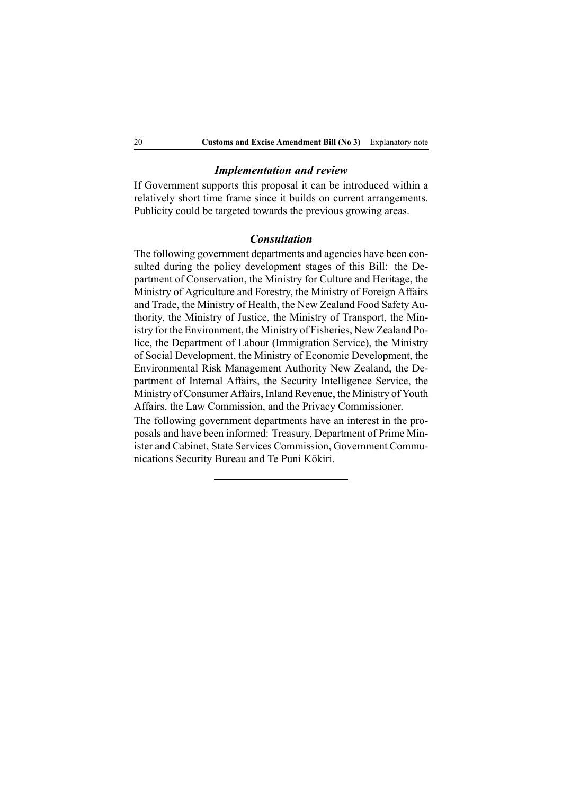#### *Implementation and review*

If Government supports this proposal it can be introduced within <sup>a</sup> relatively short time frame since it builds on current arrangements. Publicity could be targeted towards the previous growing areas.

#### *Consultation*

The following governmen<sup>t</sup> departments and agencies have been consulted during the policy development stages of this Bill: the Department of Conservation, the Ministry for Culture and Heritage, the Ministry of Agriculture and Forestry, the Ministry of Foreign Affairs and Trade, the Ministry of Health, the New Zealand Food Safety Authority, the Ministry of Justice, the Ministry of Transport, the Ministry for the Environment, the Ministry of Fisheries, New Zealand Police, the Department of Labour (Immigration Service), the Ministry of Social Development, the Ministry of Economic Development, the Environmental Risk Management Authority New Zealand, the Department of Internal Affairs, the Security Intelligence Service, the Ministry of Consumer Affairs, Inland Revenue, the Ministry of Youth Affairs, the Law Commission, and the Privacy Commissioner.

The following governmen<sup>t</sup> departments have an interest in the proposals and have been informed: Treasury, Department of Prime Minister and Cabinet, State Services Commission, Government Communications Security Bureau and Te Puni Kōkiri.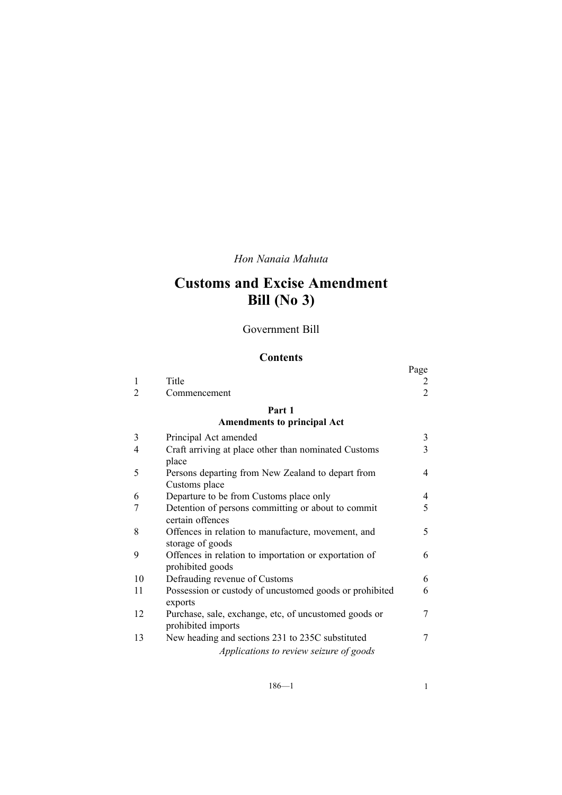*Hon Nanaia Mahuta*

# **Customs and Excise Amendment Bill (No 3)**

Government Bill

## **Contents**

|                                    |                                                                                        | Page           |  |  |
|------------------------------------|----------------------------------------------------------------------------------------|----------------|--|--|
| 1                                  | Title                                                                                  |                |  |  |
| 2                                  | Commencement                                                                           | $\overline{2}$ |  |  |
|                                    | Part 1                                                                                 |                |  |  |
| <b>Amendments to principal Act</b> |                                                                                        |                |  |  |
| 3                                  | Principal Act amended                                                                  | 3              |  |  |
| 4                                  | Craft arriving at place other than nominated Customs                                   | 3              |  |  |
|                                    | place                                                                                  |                |  |  |
| 5                                  | Persons departing from New Zealand to depart from<br>Customs place                     | 4              |  |  |
| 6                                  | Departure to be from Customs place only                                                | 4              |  |  |
| 7                                  | Detention of persons committing or about to commit<br>certain offences                 | 5              |  |  |
| 8                                  | Offences in relation to manufacture, movement, and<br>storage of goods                 | 5              |  |  |
| 9                                  | Offences in relation to importation or exportation of<br>prohibited goods              | 6              |  |  |
| 10                                 | Defrauding revenue of Customs                                                          | 6              |  |  |
| 11                                 | Possession or custody of uncustomed goods or prohibited                                | 6              |  |  |
| 12                                 | exports<br>Purchase, sale, exchange, etc, of uncustomed goods or<br>prohibited imports | 7              |  |  |
| 13                                 | New heading and sections 231 to 235C substituted                                       | 7              |  |  |
|                                    | Applications to review seizure of goods                                                |                |  |  |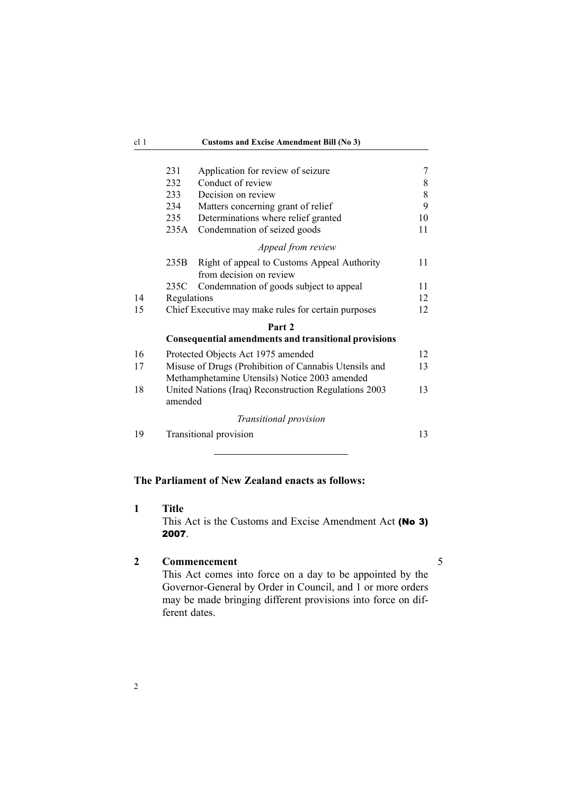<span id="page-21-0"></span>

|                        | 231<br>232<br>233<br>234 | Application for review of seizure<br>Conduct of review<br>Decision on review<br>Matters concerning grant of relief | 7<br>8<br>8<br>9 |  |  |
|------------------------|--------------------------|--------------------------------------------------------------------------------------------------------------------|------------------|--|--|
|                        | 235                      | Determinations where relief granted                                                                                | 10               |  |  |
|                        | 235A                     | Condemnation of seized goods                                                                                       | 11               |  |  |
|                        |                          | Appeal from review                                                                                                 |                  |  |  |
|                        | 235B                     | Right of appeal to Customs Appeal Authority<br>from decision on review                                             | 11               |  |  |
|                        | 235C                     | Condemnation of goods subject to appeal                                                                            | 11               |  |  |
| 14                     | Regulations              |                                                                                                                    | 12               |  |  |
| 15                     |                          | Chief Executive may make rules for certain purposes                                                                | 12               |  |  |
|                        |                          | Part 2                                                                                                             |                  |  |  |
|                        |                          | <b>Consequential amendments and transitional provisions</b>                                                        |                  |  |  |
| 16                     |                          | Protected Objects Act 1975 amended                                                                                 | 12               |  |  |
| 17                     |                          | Misuse of Drugs (Prohibition of Cannabis Utensils and<br>Methamphetamine Utensils) Notice 2003 amended             | 13               |  |  |
| 18                     | amended                  | United Nations (Iraq) Reconstruction Regulations 2003                                                              | 13               |  |  |
| Transitional provision |                          |                                                                                                                    |                  |  |  |
| 19                     |                          | Transitional provision                                                                                             | 13               |  |  |

## **The Parliament of New Zealand enacts as follows:**

**1 Title**

This Act is the Customs and Excise Amendment Act (No 3) 2007.

## **2 Commencement** 5

This Act comes into force on <sup>a</sup> day to be appointed by the Governor-General by Order in Council, and 1 or more orders may be made bringing different provisions into force on different dates.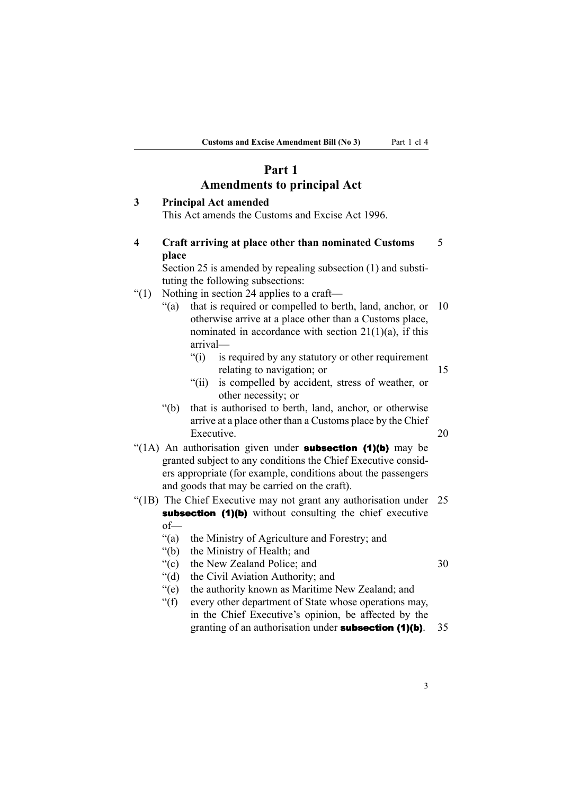## **Part 1 Amendments to principal Act**

# <span id="page-22-0"></span>**3 Principal Act amended** This Act amends the Customs and Excise Act 1996.

**4 Craft arriving at place other than nominated Customs** 5 **place**

Section 25 is amended by repealing subsection (1) and substituting the following subsections:

- "(1) Nothing in section 24 applies to <sup>a</sup> craft—
	- "(a) that is required or compelled to berth, land, anchor, or 10 otherwise arrive at <sup>a</sup> place other than <sup>a</sup> Customs place, nominated in accordance with section  $21(1)(a)$ , if this arrival—
		- "(i) is required by any statutory or other requirement relating to navigation; or 15
		- "(ii) is compelled by accident, stress of weather, or other necessity; or
	- "(b) that is authorised to berth, land, anchor, or otherwise arrive at <sup>a</sup> place other than <sup>a</sup> Customs place by the Chief Executive. 20
- "(1A) An authorisation given under **subsection (1)(b)** may be granted subject to any conditions the Chief Executive considers appropriate (for example, conditions about the passengers and goods that may be carried on the craft).
- "(1B) The Chief Executive may not gran<sup>t</sup> any authorisation under 25 subsection (1)(b) without consulting the chief executive of—
	- "(a) the Ministry of Agriculture and Forestry; and
	- "(b) the Ministry of Health; and
	- "(c) the New Zealand Police: and 30

- "(d) the Civil Aviation Authority; and "(e) the authority known as Maritime New Zealand; and
- "(f) every other department of State whose operations may, in the Chief Executive's opinion, be affected by the granting of an authorisation under subsection (1)(b). 35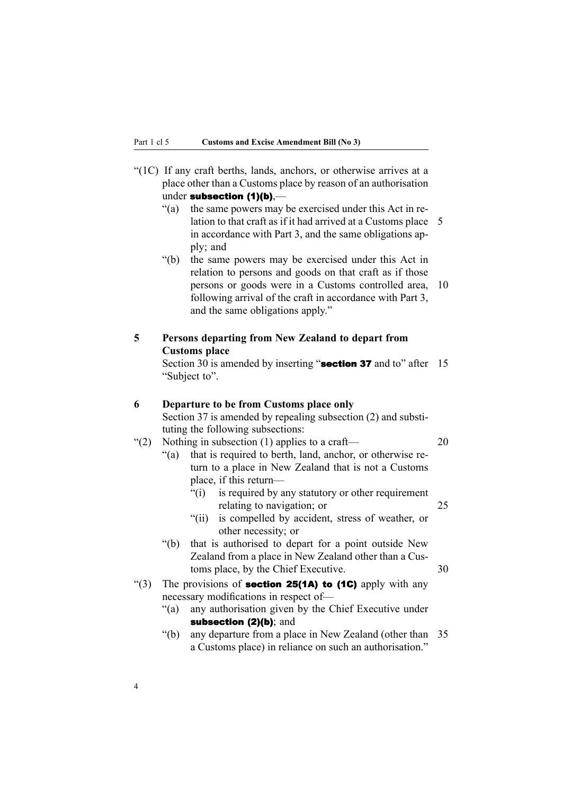<span id="page-23-0"></span>

| under subsection $(1)(b)$ .—                                         |
|----------------------------------------------------------------------|
| place other than a Customs place by reason of an authorisation       |
| "(1C) If any craft berths, lands, anchors, or otherwise arrives at a |

- "(a) the same powers may be exercised under this Act in relation to that craft as if it had arrived at a Customs place 5 in accordance with Part 3, and the same obligations apply; and
- "(b) the same powers may be exercised under this Act in relation to persons and goods on that craft as if those persons or goods were in <sup>a</sup> Customs controlled area, 10 following arrival of the craft in accordance with Part 3, and the same obligations apply."

## **5 Persons departing from New Zealand to depart from Customs place**

Section 30 is amended by inserting "section 37 and to" after 15 "Subject to".

#### **6 Departure to be from Customs place only**

Section 37 is amended by repealing subsection (2) and substituting the following subsections:

## "(2) Nothing in subsection (1) applies to a craft—  $20$

- "(a) that is required to berth, land, anchor, or otherwise return to <sup>a</sup> place in New Zealand that is not <sup>a</sup> Customs place, if this return—
	- "(i) is required by any statutory or other requirement relating to navigation; or 25
	- "(ii) is compelled by accident, stress of weather, or other necessity; or
- "(b) that is authorised to depart for <sup>a</sup> point outside New Zealand from <sup>a</sup> place in New Zealand other than <sup>a</sup> Customs place, by the Chief Executive. 30
- "(3) The provisions of **section 25(1A) to (1C)** apply with any necessary modifications in respec<sup>t</sup> of—
	- "(a) any authorisation given by the Chief Executive under subsection (2)(b); and
	- "(b) any departure from <sup>a</sup> place in New Zealand (other than 35 <sup>a</sup> Customs place) in reliance on such an authorisation."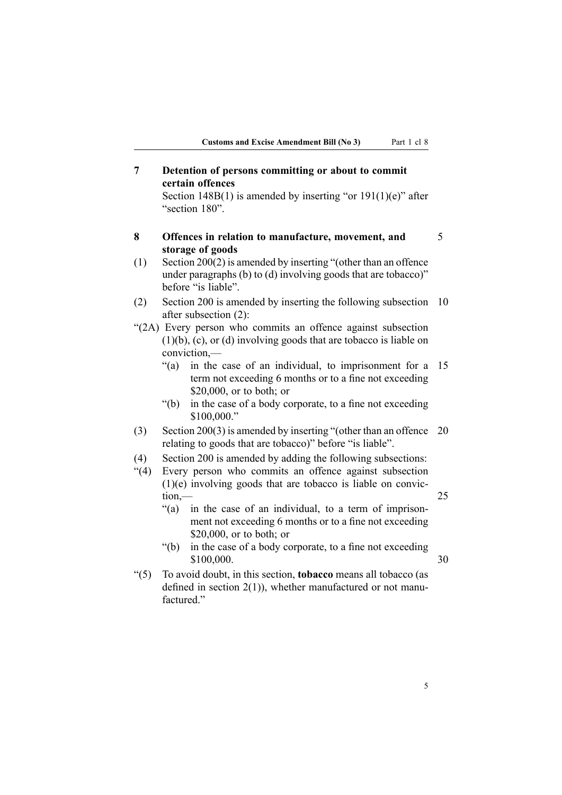<span id="page-24-0"></span>**7 Detention of persons committing or about to commit certain offences**

Section 148B(1) is amended by inserting "or  $191(1)(e)$ " after "section 180".

**8 Offences in relation to manufacture, movement, and** 5 **storage of goods**

(1) Section 200(2) is amended by inserting "(other than an offence under paragraphs (b) to (d) involving goods that are tobacco)" before "is liable".

- (2) Section 200 is amended by inserting the following subsection 10 after subsection (2):
- "(2A) Every person who commits an offence against subsection (1)(b), (c), or (d) involving goods that are tobacco is liable on conviction,—
	- "(a) in the case of an individual, to imprisonment for <sup>a</sup> 15 term not exceeding 6 months or to <sup>a</sup> fine not exceeding \$20,000, or to both; or
	- "(b) in the case of <sup>a</sup> body corporate, to <sup>a</sup> fine not exceeding \$100,000."
- (3) Section 200(3) is amended by inserting "(other than an offence 20 relating to goods that are tobacco)" before "is liable".
- (4) Section 200 is amended by adding the following subsections:
- "(4) Every person who commits an offence against subsection (1)(e) involving goods that are tobacco is liable on conviction,— 25
	- "(a) in the case of an individual, to <sup>a</sup> term of imprisonment not exceeding 6 months or to <sup>a</sup> fine not exceeding \$20,000, or to both; or
	- "(b) in the case of <sup>a</sup> body corporate, to <sup>a</sup> fine not exceeding \$100,000. 30

"(5) To avoid doubt, in this section, **tobacco** means all tobacco (as defined in section  $2(1)$ ), whether manufactured or not manufactured."

5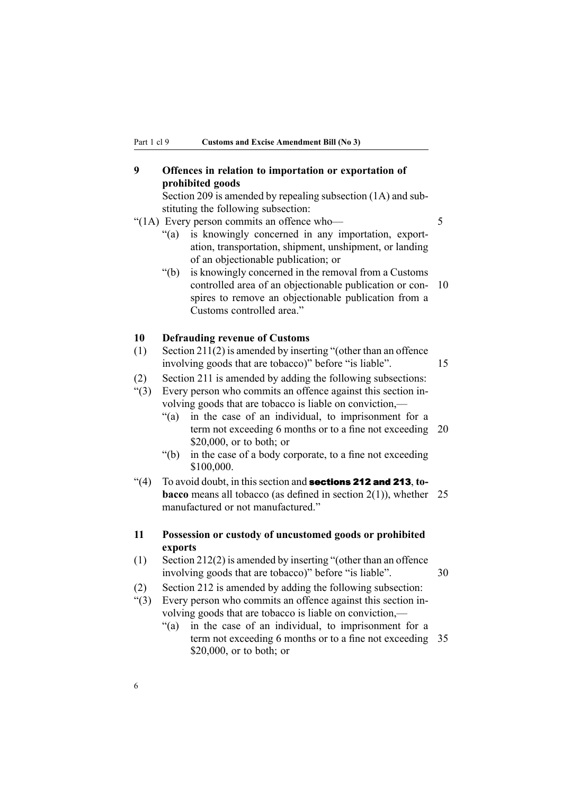## <span id="page-25-0"></span>**9 Offences in relation to importation or exportation of prohibited goods**

Section 209 is amended by repealing subsection (1A) and substituting the following subsection:

#### "(1A) Every person commits an offence who— 5

- "(a) is knowingly concerned in any importation, exportation, transportation, shipment, unshipment, or landing of an objectionable publication; or
- "(b) is knowingly concerned in the removal from <sup>a</sup> Customs controlled area of an objectionable publication or con- 10 spires to remove an objectionable publication from <sup>a</sup> Customs controlled area."

#### **10 Defrauding revenue of Customs**

(1) Section 211(2) is amended by inserting "(other than an offence involving goods that are tobacco)" before "is liable". 15

(2) Section 211 is amended by adding the following subsections: "(3) Every person who commits an offence against this section in-

- volving goods that are tobacco is liable on conviction,—
	- "(a) in the case of an individual, to imprisonment for <sup>a</sup> term not exceeding 6 months or to a fine not exceeding 20 \$20,000, or to both; or
	- "(b) in the case of <sup>a</sup> body corporate, to <sup>a</sup> fine not exceeding \$100,000.
- "(4) To avoid doubt, in this section and **sections 212 and 213**, to**bacco** means all tobacco (as defined in section 2(1)), whether 25 manufactured or not manufactured."

## **11 Possession or custody of uncustomed goods or prohibited exports**

- (1) Section 212(2) is amended by inserting "(other than an offence involving goods that are tobacco)" before "is liable". 30
- (2) Section 212 is amended by adding the following subsection:
- "(3) Every person who commits an offence against this section involving goods that are tobacco is liable on conviction,—
	- "(a) in the case of an individual, to imprisonment for <sup>a</sup> term not exceeding 6 months or to <sup>a</sup> fine not exceeding 35 \$20,000, or to both; or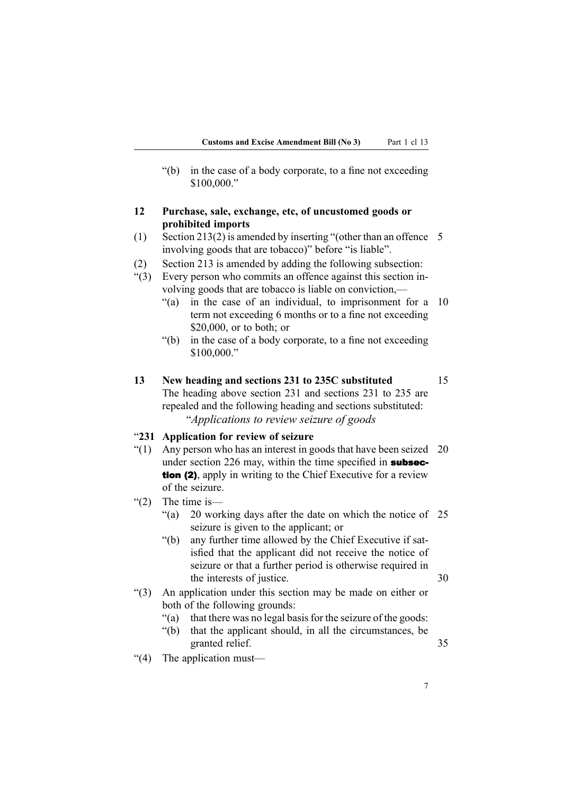<span id="page-26-0"></span>"(b) in the case of <sup>a</sup> body corporate, to <sup>a</sup> fine not exceeding \$100,000."

## **12 Purchase, sale, exchange, etc, of uncustomed goods or prohibited imports**

- (1) Section 213(2) is amended by inserting "(other than an offence 5 involving goods that are tobacco)" before "is liable".
- (2) Section 213 is amended by adding the following subsection:
- "(3) Every person who commits an offence against this section involving goods that are tobacco is liable on conviction,—
	- "(a) in the case of an individual, to imprisonment for <sup>a</sup> 10 term not exceeding 6 months or to <sup>a</sup> fine not exceeding \$20,000, or to both; or
	- "(b) in the case of <sup>a</sup> body corporate, to <sup>a</sup> fine not exceeding \$100,000."
- **13 New heading and sections 231 to 235C substituted** 15 The heading above section 231 and sections 231 to 235 are repealed and the following heading and sections substituted: "*Applications to review seizure of goods*

#### "**231 Application for review of seizure**

- "(1) Any person who has an interest in goods that have been seized 20 under section 226 may, within the time specified in **subsec**tion (2), apply in writing to the Chief Executive for a review of the seizure.
- $(2)$  The time is
	- "(a) 20 working days after the date on which the notice of 25 seizure is given to the applicant; or
	- "(b) any further time allowed by the Chief Executive if satisfied that the applicant did not receive the notice of seizure or that <sup>a</sup> further period is otherwise required in the interests of justice. 30
- "(3) An application under this section may be made on either or both of the following grounds:
	- "(a) that there was no legal basis for the seizure of the goods:
	- "(b) that the applicant should, in all the circumstances, be granted relief. 35
- "(4) The application must—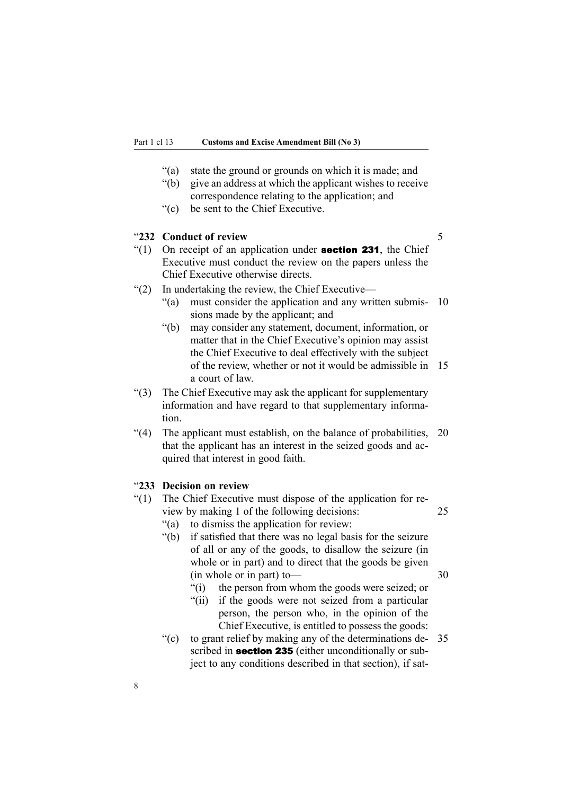- <span id="page-27-0"></span>"(a) state the ground or grounds on which it is made; and
- "(b) give an address at which the applicant wishes to receive correspondence relating to the application; and
- "(c) be sent to the Chief Executive.

#### "**232 Conduct of review** 5

- "(1) On receipt of an application under **section 231**, the Chief Executive must conduct the review on the papers unless the Chief Executive otherwise directs.
- "(2) In undertaking the review, the Chief Executive—
	- $\degree$ (a) must consider the application and any written submis- 10 sions made by the applicant; and
	- "(b) may consider any statement, document, information, or matter that in the Chief Executive's opinion may assist the Chief Executive to deal effectively with the subject of the review, whether or not it would be admissible in 15 <sup>a</sup> court of law.
- "(3) The Chief Executive may ask the applicant for supplementary information and have regard to that supplementary information.
- "(4) The applicant must establish, on the balance of probabilities, 20 that the applicant has an interest in the seized goods and acquired that interest in good faith.

#### "**233 Decision on review**

- "(1) The Chief Executive must dispose of the application for review by making 1 of the following decisions: 25
	- "(a) to dismiss the application for review:
	- "(b) if satisfied that there was no legal basis for the seizure of all or any of the goods, to disallow the seizure (in whole or in part) and to direct that the goods be given  $(in whole or in part) to \t\t 30$ 
		- "(i) the person from whom the goods were seized; or
		- "(ii) if the goods were not seized from <sup>a</sup> particular person, the person who, in the opinion of the Chief Executive, is entitled to possess the goods:
	- "(c) to grant relief by making any of the determinations de- 35 scribed in **section 235** (either unconditionally or subject to any conditions described in that section), if sat-

8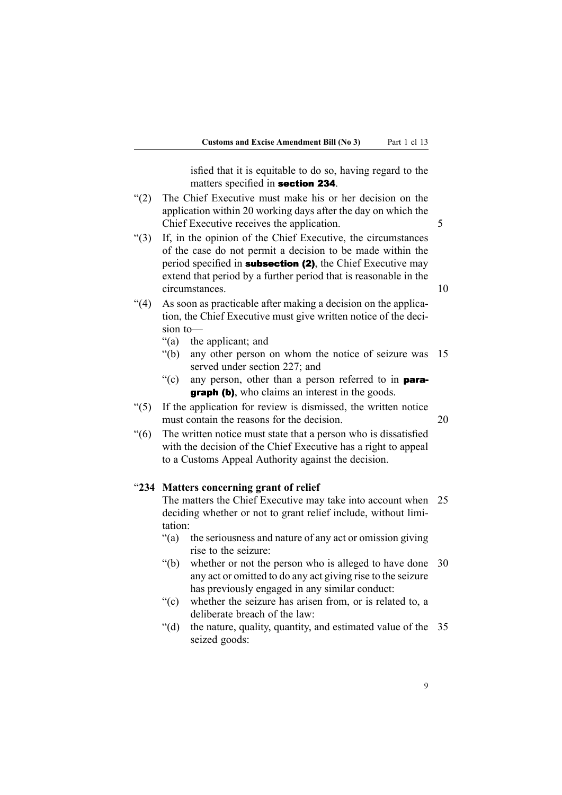isfied that it is equitable to do so, having regard to the matters specified in section <sup>234</sup>.

- <span id="page-28-0"></span>"(2) The Chief Executive must make his or her decision on the application within 20 working days after the day on which the Chief Executive receives the application. 5
- "(3) If, in the opinion of the Chief Executive, the circumstances of the case do not permit <sup>a</sup> decision to be made within the period specified in **subsection (2)**, the Chief Executive may extend that period by <sup>a</sup> further period that is reasonable in the circumstances. 10
- "(4) As soon as practicable after making <sup>a</sup> decision on the application, the Chief Executive must give written notice of the decision to—
	- "(a) the applicant; and
	- "(b) any other person on whom the notice of seizure was 15 served under section 227; and
	- "(c) any person, other than a person referred to in **para**graph (b), who claims an interest in the goods.
- "(5) If the application for review is dismissed, the written notice must contain the reasons for the decision. 20
	-
- "(6) The written notice must state that <sup>a</sup> person who is dissatisfied with the decision of the Chief Executive has <sup>a</sup> right to appeal to <sup>a</sup> Customs Appeal Authority against the decision.

#### "**234 Matters concerning grant of relief**

The matters the Chief Executive may take into account when 25 deciding whether or not to gran<sup>t</sup> relief include, without limitation:

- "(a) the seriousness and nature of any act or omission giving rise to the seizure:
- "(b) whether or not the person who is alleged to have done 30 any act or omitted to do any act giving rise to the seizure has previously engaged in any similar conduct:
- "(c) whether the seizure has arisen from, or is related to, <sup>a</sup> deliberate breach of the law:
- "(d) the nature, quality, quantity, and estimated value of the 35 seized goods:

9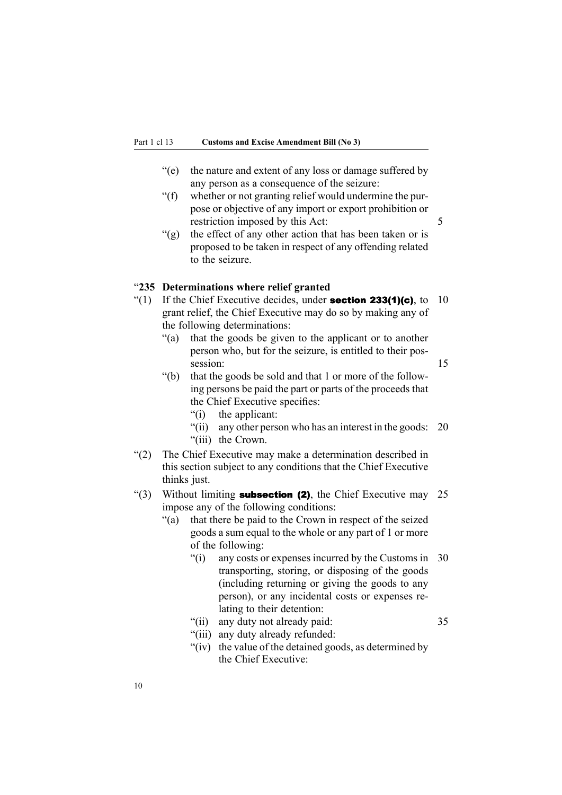- <span id="page-29-0"></span>"(e) the nature and extent of any loss or damage suffered by any person as <sup>a</sup> consequence of the seizure:
- "(f) whether or not granting relief would undermine the purpose or objective of any import or expor<sup>t</sup> prohibition or restriction imposed by this Act: 5
- "(g) the effect of any other action that has been taken or is proposed to be taken in respec<sup>t</sup> of any offending related to the seizure.

#### "**235 Determinations where relief granted**

- "(1) If the Chief Executive decides, under **section 233(1)(c)**, to 10 gran<sup>t</sup> relief, the Chief Executive may do so by making any of the following determinations:
	- "(a) that the goods be given to the applicant or to another person who, but for the seizure, is entitled to their possession: 15
	- "(b) that the goods be sold and that 1 or more of the following persons be paid the par<sup>t</sup> or parts of the proceeds that the Chief Executive specifies:
		- "(i) the applicant:
		- "(ii) any other person who has an interest in the goods: 20 "(iii) the Crown.
- "(2) The Chief Executive may make <sup>a</sup> determination described in this section subject to any conditions that the Chief Executive thinks just.
- "(3) Without limiting **subsection (2)**, the Chief Executive may 25 impose any of the following conditions:
	- "(a) that there be paid to the Crown in respec<sup>t</sup> of the seized goods <sup>a</sup> sum equal to the whole or any par<sup>t</sup> of 1 or more of the following:
		- "(i) any costs or expenses incurred by the Customs in 30 transporting, storing, or disposing of the goods (including returning or giving the goods to any person), or any incidental costs or expenses relating to their detention:
		- "(ii) any duty not already paid: 35
		- "(iii) any duty already refunded:
		- "(iv) the value of the detained goods, as determined by the Chief Executive: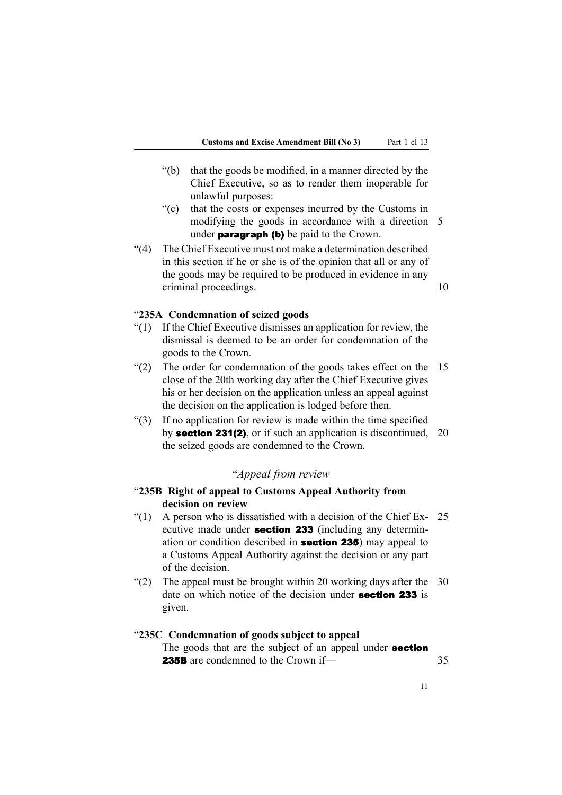- <span id="page-30-0"></span>"(b) that the goods be modified, in <sup>a</sup> manner directed by the Chief Executive, so as to render them inoperable for unlawful purposes:
- "(c) that the costs or expenses incurred by the Customs in modifying the goods in accordance with <sup>a</sup> direction 5 under **paragraph (b)** be paid to the Crown.
- "(4) The Chief Executive must not make <sup>a</sup> determination described in this section if he or she is of the opinion that all or any of the goods may be required to be produced in evidence in any criminal proceedings. 10

#### "**235A Condemnation of seized goods**

- "(1) If the Chief Executive dismisses an application for review, the dismissal is deemed to be an order for condemnation of the goods to the Crown.
- "(2) The order for condemnation of the goods takes effect on the 15 close of the 20th working day after the Chief Executive gives his or her decision on the application unless an appeal against the decision on the application is lodged before then.
- "(3) If no application for review is made within the time specified by section 231(2), or if such an application is discontinued, 20 the seized goods are condemned to the Crown.

## "*Appeal from review*

## "**235B Right of appeal to Customs Appeal Authority from decision on review**

- "(1) A person who is dissatisfied with a decision of the Chief Ex- $25$ ecutive made under **section 233** (including any determination or condition described in section <sup>235</sup>) may appeal to <sup>a</sup> Customs Appeal Authority against the decision or any par<sup>t</sup> of the decision.
- "(2) The appeal must be brought within 20 working days after the 30 date on which notice of the decision under **section 233** is given.

## "**235C Condemnation of goods subject to appeal**

The goods that are the subject of an appeal under **section 235B** are condemned to the Crown if— 35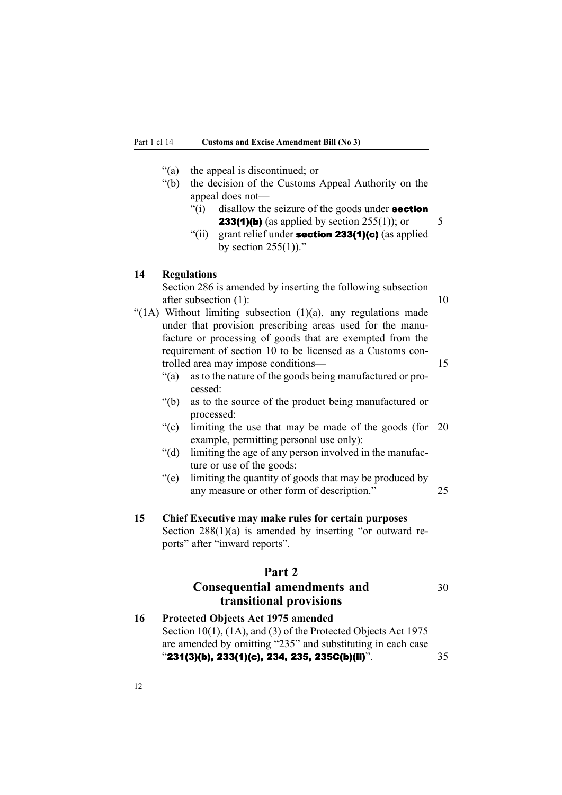- <span id="page-31-0"></span>"(a) the appeal is discontinued; or
- "(b) the decision of the Customs Appeal Authority on the appeal does not—
	- $\lq$ (i) disallow the seizure of the goods under **section 233(1)(b)** (as applied by section  $255(1)$ ); or 5
	- "(ii) grant relief under **section 233(1)(c)** (as applied by section  $255(1)$ ."

#### **14 Regulations**

Section 286 is amended by inserting the following subsection after subsection (1): 10

- "(1A) Without limiting subsection  $(1)(a)$ , any regulations made under that provision prescribing areas used for the manufacture or processing of goods that are exempted from the requirement of section 10 to be licensed as <sup>a</sup> Customs controlled area may impose conditions— 15
	- "(a) as to the nature of the goods being manufactured or processed:
	- "(b) as to the source of the product being manufactured or processed:
	- "(c) limiting the use that may be made of the goods (for 20 example, permitting personal use only):
	- "(d) limiting the age of any person involved in the manufacture or use of the goods:
	- "(e) limiting the quantity of goods that may be produced by any measure or other form of description." 25
- **15 Chief Executive may make rules for certain purposes** Section  $288(1)(a)$  is amended by inserting "or outward reports" after "inward reports".

## **Part 2**

## **Consequential amendments and** <sup>30</sup> **transitional provisions**

**16 Protected Objects Act 1975 amended** Section 10(1), (1A), and (3) of the Protected Objects Act 1975 are amended by omitting "235" and substituting in each case " $231(3)$ (b), 233(1)(c), 234, 235, 235C(b)(ii)".  $35$